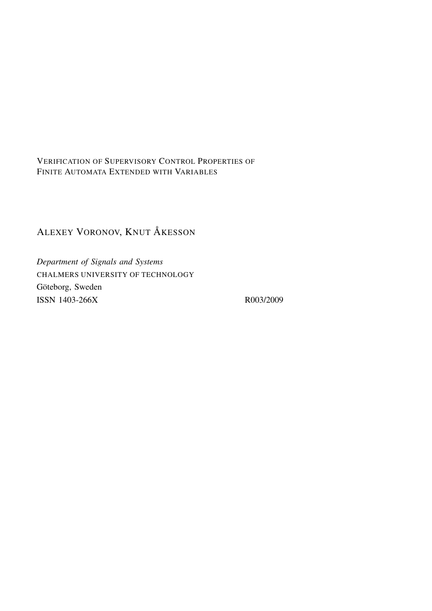VERIFICATION OF SUPERVISORY CONTROL PROPERTIES OF FINITE AUTOMATA EXTENDED WITH VARIABLES

# ALEXEY VORONOV, KNUT ÅKESSON

*Department of Signals and Systems* CHALMERS UNIVERSITY OF TECHNOLOGY Göteborg, Sweden ISSN 1403-266X R003/2009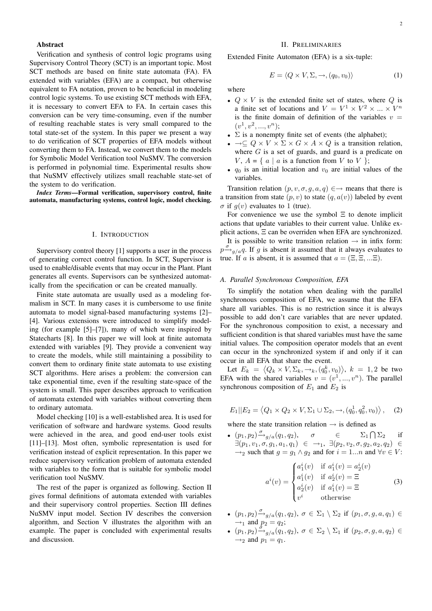## Abstract

Verification and synthesis of control logic programs using Supervisory Control Theory (SCT) is an important topic. Most SCT methods are based on finite state automata (FA). FA extended with variables (EFA) are a compact, but otherwise equivalent to FA notation, proven to be beneficial in modeling control logic systems. To use existing SCT methods with EFA, it is necessary to convert EFA to FA. In certain cases this conversion can be very time-consuming, even if the number of resulting reachable states is very small compared to the total state-set of the system. In this paper we present a way to do verification of SCT properties of EFA models without converting them to FA. Instead, we convert them to the models for Symbolic Model Verification tool NuSMV. The conversion is performed in polynomial time. Experimental results show that NuSMV effectively utilizes small reachable state-set of the system to do verification.

*Index Terms*—Formal verification, supervisory control, finite automata, manufacturing systems, control logic, model checking.

#### I. INTRODUCTION

Supervisory control theory [1] supports a user in the process of generating correct control function. In SCT, Supervisor is used to enable/disable events that may occur in the Plant. Plant generates all events. Supervisors can be synthesized automatically from the specification or can be created manually.

Finite state automata are usually used as a modeling formalism in SCT. In many cases it is cumbersome to use finite automata to model signal-based manufacturing systems [2]– [4]. Various extensions were introduced to simplify modeling (for example [5]–[7]), many of which were inspired by Statecharts [8]. In this paper we will look at finite automata extended with variables [9]. They provide a convenient way to create the models, while still maintaining a possibility to convert them to ordinary finite state automata to use existing SCT algorithms. Here arises a problem: the conversion can take exponential time, even if the resulting state-space of the system is small. This paper describes approach to verification of automata extended with variables without converting them to ordinary automata.

Model checking [10] is a well-established area. It is used for verification of software and hardware systems. Good results were achieved in the area, and good end-user tools exist [11]–[13]. Most often, symbolic representation is used for verification instead of explicit representation. In this paper we reduce supervisory verification problem of automata extended with variables to the form that is suitable for symbolic model verification tool NuSMV.

The rest of the paper is organized as following. Section II gives formal definitions of automata extended with variables and their supervisory control properties. Section III defines NuSMV input model. Section IV describes the conversion algorithm, and Section V illustrates the algorithm with an example. The paper is concluded with experimental results and discussion.

## II. PRELIMINARIES

Extended Finite Automaton (EFA) is a six-tuple:

$$
E = \langle Q \times V, \Sigma, \to, (q_0, v_0) \rangle \tag{1}
$$

where

- $Q \times V$  is the extended finite set of states, where Q is a finite set of locations and  $V = V^1 \times V^2 \times ... \times V^n$ is the finite domain of definition of the variables  $v =$  $(v^1, v^2, ..., v^n);$
- $\Sigma$  is a nonempty finite set of events (the alphabet);
- $\rightarrow \subseteq Q \times V \times \Sigma \times G \times A \times Q$  is a transition relation, where  $G$  is a set of guards, and guard is a predicate on  $V, A = \{ a \mid a \text{ is a function from } V \text{ to } V \};$
- $q_0$  is an initial location and  $v_0$  are initial values of the variables.

Transition relation  $(p, v, \sigma, q, a, q) \in \rightarrow$  means that there is a transition from state  $(p, v)$  to state  $(q, a(v))$  labeled by event  $\sigma$  if  $q(v)$  evaluates to 1 (true).

For convenience we use the symbol  $\Xi$  to denote implicit actions that update variables to their current value. Unlike explicit actions, Ξ can be overriden when EFA are synchronized.

It is possible to write transition relation  $\rightarrow$  in infix form:  $p \frac{\sigma}{\rho}$ <sub>g/a</sub>q. If g is absent it assumed that it always evaluates to true. If a is absent, it is assumed that  $a = (\Xi, \Xi, ... \Xi)$ .

#### *A. Parallel Synchronous Composition, EFA*

To simplify the notation when dealing with the parallel synchronous composition of EFA, we assume that the EFA share all variables. This is no restriction since it is always possible to add don't care variables that are never updated. For the synchronous composition to exist, a necessary and sufficient condition is that shared variables must have the same initial values. The composition operator models that an event can occur in the synchronized system if and only if it can occur in all EFA that share the event.

Let  $E_k = \langle Q_k \times V, \Sigma_k, \to_k, (q_0^k, v_0) \rangle, k = 1, 2$  be two EFA with the shared variables  $v = (v^1, ..., v^n)$ . The parallel synchronous composition of  $E_1$  and  $E_2$  is

$$
E_1||E_2 = \langle Q_1 \times Q_2 \times V, \Sigma_1 \cup \Sigma_2, \to, (q_0^1, q_0^2, v_0) \rangle, \quad (2)
$$

where the state transition relation  $\rightarrow$  is defined as

•  $(p_1, p_2) \xrightarrow{\sigma}{}_{g/a}(q_1, q_2), \quad \sigma \in \Sigma_1$  $\bigcap \Sigma_2$  if  $\exists (p_1, v_1, \sigma, g_1, a_1, q_1) \in \rightarrow_1, \exists (p_2, v_2, \sigma, g_2, a_2, q_2) \in$  $\rightarrow_2$  such that  $g = g_1 \land g_2$  and for  $i = 1...n$  and  $\forall v \in V$ :

$$
a^{i}(v) = \begin{cases} a_{1}^{i}(v) & \text{if } a_{1}^{i}(v) = a_{2}^{i}(v) \\ a_{1}^{i}(v) & \text{if } a_{2}^{i}(v) = \Xi \\ a_{2}^{i}(v) & \text{if } a_{1}^{i}(v) = \Xi \\ v^{i} & \text{otherwise} \end{cases}
$$
(3)

- $(p_1, p_2) \frac{\sigma}{\sigma}$ <sub>g/a</sub> $(q_1, q_2)$ ,  $\sigma \in \Sigma_1 \setminus \Sigma_2$  if  $(p_1, \sigma, g, a, q_1) \in$  $\rightarrow_1$  and  $p_2 = q_2$ ;
- $(p_1, p_2) \frac{\dot{\sigma}^2}{2} q_{a}(q_1, q_2), \sigma \in \Sigma_2 \setminus \Sigma_1$  if  $(p_2, \sigma, g, a, q_2) \in$  $\rightarrow_2$  and  $p_1 = q_1$ .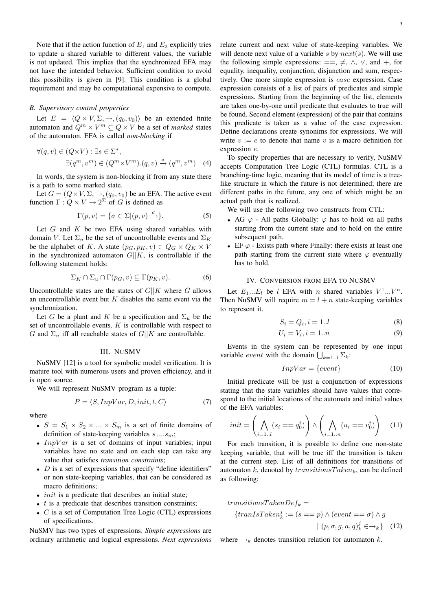Note that if the action function of  $E_1$  and  $E_2$  explicitly tries to update a shared variable to different values, the variable is not updated. This implies that the synchronized EFA may not have the intended behavior. Sufficient condition to avoid this possibility is given in [9]. This condition is a global requirement and may be computational expensive to compute.

## *B. Supervisory control properties*

Let  $E = \langle Q \times V, \Sigma, \rightarrow, (q_0, v_0) \rangle$  be an extended finite automaton and  $Q^m \times V^m \subseteq Q \times V$  be a set of *marked* states of the automaton. EFA is called *non-blocking* if

$$
\forall (q, v) \in (Q \times V) : \exists s \in \Sigma^*,
$$
  

$$
\exists (q^m, v^m) \in (Q^m \times V^m). (q, v) \xrightarrow{s} (q^m, v^m) \quad (4)
$$

In words, the system is non-blocking if from any state there is a path to some marked state.

Let  $G = (Q \times V, \Sigma, \rightarrow, (q_0, v_0))$  be an EFA. The active event function  $\Gamma: Q \times V \to 2^{\Sigma}$  of G is defined as

$$
\Gamma(p, v) = \{ \sigma \in \Sigma | (p, v) \xrightarrow{\sigma} \}.
$$
 (5)

Let  $G$  and  $K$  be two EFA using shared variables with domain V. Let  $\Sigma_u$  be the set of uncontrollable events and  $\Sigma_K$ be the alphabet of K. A state  $(p_G, p_K, v) \in Q_G \times Q_K \times V$ in the synchronized automaton  $G||K$ , is controllable if the following statement holds:

$$
\Sigma_K \cap \Sigma_u \cap \Gamma(p_G, v) \subseteq \Gamma(p_K, v). \tag{6}
$$

Uncontrollable states are the states of  $G||K$  where G allows an uncontrollable event but  $K$  disables the same event via the synchronization.

Let G be a plant and K be a specification and  $\Sigma_u$  be the set of uncontrollable events.  $K$  is controllable with respect to G and  $\Sigma_u$  iff all reachable states of  $G||K$  are controllable.

#### III. NUSMV

NuSMV [12] is a tool for symbolic model verification. It is mature tool with numerous users and proven efficiency, and it is open source.

We will represent NuSMV program as a tuple:

$$
P = \langle S, InpVar, D, init, t, C \rangle \tag{7}
$$

where

- $S = S_1 \times S_2 \times ... \times S_m$  is a set of finite domains of definition of state-keeping variables  $s_1...s_m$ ;
- $InpVar$  is a set of domains of input variables; input variables have no state and on each step can take any value that satisfies *transition constraints*;
- $D$  is a set of expressions that specify "define identifiers" or non state-keeping variables, that can be considered as macro definitions;
- *init* is a predicate that describes an initial state;
- $t$  is a predicate that describes transition constraints;
- $C$  is a set of Computation Tree Logic (CTL) expressions of specifications.

NuSMV has two types of expressions. *Simple expressions* are ordinary arithmetic and logical expressions. *Next expressions* relate current and next value of state-keeping variables. We will denote next value of a variable s by  $next(s)$ . We will use the following simple expressions:  $==, \neq, \land, \lor, \text{ and } +, \text{ for }$ equality, inequality, conjunction, disjunction and sum, respectively. One more simple expression is case expression. Case expression consists of a list of pairs of predicates and simple expressions. Starting from the beginning of the list, elements are taken one-by-one until predicate that evaluates to true will be found. Second element (expression) of the pair that contains this predicate is taken as a value of the case expression. Define declarations create synonims for expressions. We will write  $v := e$  to denote that name v is a macro definition for expression e.

To specify properties that are necessary to verify, NuSMV accepts Computation Tree Logic (CTL) formulas. CTL is a branching-time logic, meaning that its model of time is a treelike structure in which the future is not determined; there are different paths in the future, any one of which might be an actual path that is realized.

We will use the following two constructs from CTL:

- AG  $\varphi$  All paths Globally:  $\varphi$  has to hold on all paths starting from the current state and to hold on the entire subsequent path.
- EF  $\varphi$  Exists path where Finally: there exists at least one path starting from the current state where  $\varphi$  eventually has to hold.

#### IV. CONVERSION FROM EFA TO NUSMV

Let  $E_1...E_l$  be l EFA with n shared variables  $V^1...V^n$ . Then NuSMV will require  $m = l + n$  state-keeping variables to represent it.

$$
S_i = Q_i, i = 1..l \tag{8}
$$

$$
U_i = V_i, i = 1..n \tag{9}
$$

Events in the system can be represented by one input variable *event* with the domain  $\bigcup_{k=1...l} \Sigma_k$ :

$$
InpVar = \{event\} \tag{10}
$$

Initial predicate will be just a conjunction of expressions stating that the state variables should have values that correspond to the initial locations of the automata and initial values of the EFA variables:

$$
init = \left(\bigwedge_{i=1..l} (s_i == q_0^i)\right) \wedge \left(\bigwedge_{i=1..n} (u_i == v_0^i)\right) \quad (11)
$$

For each transition, it is possible to define one non-state keeping variable, that will be true iff the transition is taken at the current step. List of all definitions for transitions of automaton k, denoted by  $transitionsTaken_k$ , can be defined as following:

$$
transitionsTake nDef_k =
$$
  
\n
$$
\{tranIsTake n_k^j := (s == p) \land (event == \sigma) \land g
$$
  
\n
$$
\mid (p, \sigma, g, a, q)_k^j \in \rightarrow_k \} \quad (12)
$$

where  $\rightarrow_k$  denotes transition relation for automaton k.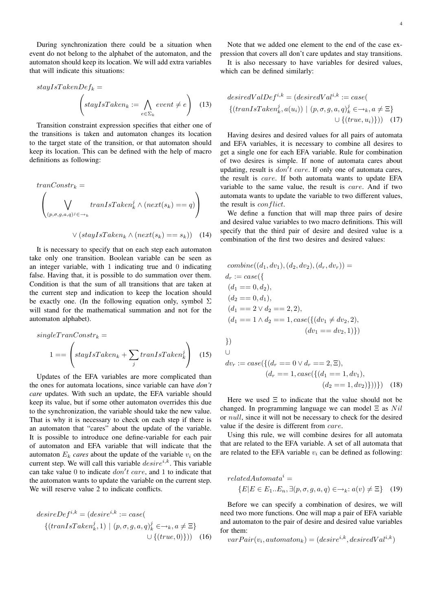During synchronization there could be a situation when event do not belong to the alphabet of the automaton, and the automaton should keep its location. We will add extra variables that will indicate this situations:

$$
stayIsTake nDef_k =
$$

$$
\left(stayIsTake n_k := \bigwedge_{e \in \Sigma_k} event \neq e\right) \quad (13)
$$

Transition constraint expression specifies that either one of the transitions is taken and automaton changes its location to the target state of the transition, or that automaton should keep its location. This can be defined with the help of macro definitions as following:

$$
tranConstr_k = \left(\bigvee_{(p,\sigma,g,a,q)^j \in \rightarrow_k} tranIsTaken_k^j \land (next(s_k) == q)\right)
$$
  

$$
\vee (staulsTaken_k \land (next(s_k) == s_k)) \quad (14)
$$

It is necessary to specify that on each step each automaton take only one transition. Boolean variable can be seen as an integer variable, with 1 indicating true and 0 indicating false. Having that, it is possible to do summation over them. Condition is that the sum of all transitions that are taken at the current step and indication to keep the location should be exactly one. (In the following equation only, symbol  $\Sigma$ will stand for the mathematical summation and not for the automaton alphabet).

$$
single TranConstruct_k =
$$
  

$$
1 == \left(stayIsTaken_k + \sum_{j} translsTaken_k^{j}\right)
$$
 (15)

Updates of the EFA variables are more complicated than the ones for automata locations, since variable can have *don't care* updates. With such an update, the EFA variable should keep its value, but if some other automaton overrides this due to the synchronization, the variable should take the new value. That is why it is necessary to check on each step if there is an automaton that "cares" about the update of the variable. It is possible to introduce one define-variable for each pair of automaton and EFA variable that will indicate that the automaton  $E_k$  *cares* about the update of the variable  $v_i$  on the current step. We will call this variable  $desire^{i,k}$ . This variable can take value 0 to indicate  $don't$  care, and 1 to indicate that the automaton wants to update the variable on the current step. We will reserve value 2 to indicate conflicts.

$$
desireDefi,k = (desirei,k := case)
$$
  

$$
\{(tranIsTakenkj, 1) | (p, \sigma, g, a, q)kj \in \rightarrow_k, a \neq \Xi\}
$$
  

$$
\cup \{(true, 0)\}) \quad (16)
$$

Note that we added one element to the end of the case expression that covers all don't care updates and stay transitions.

It is also necessary to have variables for desired values, which can be defined similarly:

$$
desiredValDef^{i,k} = (desiredVal^{i,k} := case(\{(tranIsTaken_k^j, a(u_i)) \mid (p, \sigma, g, a, q)_k^j \in \rightarrow_k, a \neq \Xi\})
$$

$$
\cup \{(true, u_i)\})) \quad (17)
$$

Having desires and desired values for all pairs of automata and EFA variables, it is necessary to combine all desires to get a single one for each EFA variable. Rule for combination of two desires is simple. If none of automata cares about updating, result is  $don't$  care. If only one of automata cares, the result is care. If both automata wants to update EFA variable to the same value, the result is care. And if two automata wants to update the variable to two different values, the result is *conflict*.

We define a function that will map three pairs of desire and desired value variables to two macro definitions. This will specify that the third pair of desire and desired value is a combination of the first two desires and desired values:

$$
combine((d_1, dv_1), (d_2, dv_2), (d_r, dv_r)) =
$$
  
\n
$$
d_r := case(\lbrace
$$
  
\n
$$
(d_1 == 0, d_2),
$$
  
\n
$$
(d_2 == 0, d_1),
$$
  
\n
$$
(d_1 == 2 \lor d_2 == 2, 2),
$$
  
\n
$$
(d_1 == 1 \land d_2 == 1, case(\lbrace (dv_1 \neq dv_2, 2),
$$
  
\n
$$
(dv_1 == dv_2, 1) \rbrace)
$$
  
\n
$$
\rbrace
$$
  
\n
$$
\bigcup_{v \in V} d_{v} := case(\lbrace (d_r == 0 \lor d_r == 2, \Xi),
$$
  
\n
$$
(d_r == 1, case(\lbrace (d_1 == 1, dv_1),
$$

$$
(d_2 == 1, dv_2)\}))\}) (18)
$$

Here we used  $\Xi$  to indicate that the value should not be changed. In programming language we can model  $\Xi$  as  $Nil$ or null, since it will not be necessary to check for the desired value if the desire is different from care.

Using this rule, we will combine desires for all automata that are related to the EFA variable. A set of all automata that are related to the EFA variable  $v_i$  can be defined as following:

$$
relatedAutomatai = \{E|E \in E_1...E_n, \exists (p, \sigma, g, a, q) \in \rightarrow_k: a(v) \neq \Xi\}
$$
 (19)

Before we can specify a combination of desires, we will need two more functions. One will map a pair of EFA variable and automaton to the pair of desire and desired value variables for them:

 $varPair(v_i, automaton_k) = (desire^{i,k}, desiredVal<sup>i,k</sup>)$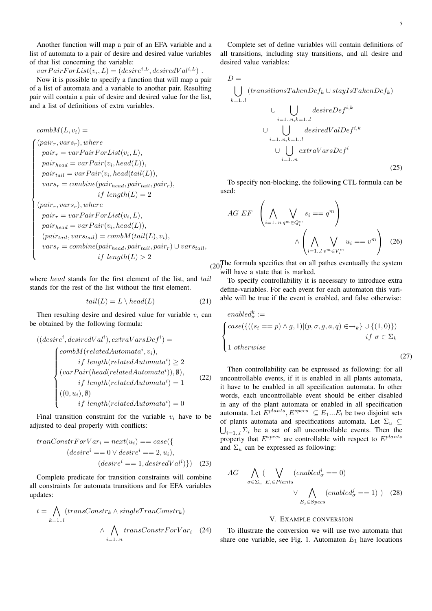Another function will map a pair of an EFA variable and a list of automata to a pair of desire and desired value variables of that list concerning the variable:

 $varPairForList(v_i, L) = (desire<sup>i, L</sup>, desiredVal<sup>i, L</sup>)$ .

Now it is possible to specify a function that will map a pair of a list of automata and a variable to another pair. Resulting pair will contain a pair of desire and desired value for the list, and a list of definitions of extra variables.

combM(L, vi) = (pairr, varsr), where pair<sup>r</sup> = varP airF orList(v<sup>i</sup> , L), pairhead = varP air(v<sup>i</sup> , head(L)), pairtail = varP air(v<sup>i</sup> , head(tail(L)), vars<sup>r</sup> = combine(pairhead, pairtail, pairr), if length(L) = 2 (pairr, varsr), where pair<sup>r</sup> = varP airF orList(v<sup>i</sup> , L), pairhead = varP air(v<sup>i</sup> , head(L)), (pairtail, varstail) = combM(tail(L), vi), vars<sup>r</sup> = combine(pairhead, pairtail, pairr) ∪ varstail, if length(L) > 2

where *head* stands for the first element of the list, and tail stands for the rest of the list without the first element.

$$
tail(L) = L \setminus head(L) \tag{21}
$$

Then resulting desire and desired value for variable  $v_i$  can be obtained by the following formula:

$$
((desirei, desiredVali), extraVarsDefi) =
$$

$$
\begin{cases}\ncombM(relatedAutomatai, vi),\nif length(relatedAutomatai) \ge 2\\
(varPair(head(relatedAutomatai)), \emptyset),\nif length(relatedAutomatai) = 1\\
((0, ui), \emptyset)\nif length(relatedAutomatai) = 0\n\end{cases}
$$
\n(22)

Final transition constraint for the variable  $v_i$  have to be adjusted to deal properly with conflicts:

$$
tranConstructForVar_i = next(u_i) == case(\lbrace
$$
  
\n
$$
(desirei == 0 \lor desirei == 2, u_i),
$$
  
\n
$$
(desirei == 1, desiredVali)\})
$$
 (23)

Complete predicate for transition constraints will combine all constraints for automata transitions and for EFA variables updates:

$$
t = \bigwedge_{k=1..l} (transConstruct_k \land singleTranConstruct_k)
$$

$$
\land \bigwedge_{i=1..n} transConstructForVar_i \quad (24)
$$

Complete set of define variables will contain definitions of all transitions, including stay transitions, and all desire and desired value variables:

$$
D = \bigcup_{k=1..l} (transitionsTake nDef_k \cup stayIsTake nDef_k)
$$
  
\n
$$
\bigcup_{i=1..n,k=1..l} (transitionsTake nDef_k \cup stayIsTake nDef^i,k)
$$
  
\n
$$
\bigcup_{i=1..n,k=1..l} desiredValDef^{i,k}
$$
  
\n
$$
\bigcup_{i=1..n} extractVars Def^i
$$
  
\n(25)

To specify non-blocking, the following CTL formula can be used:

$$
AG EF \left(\bigwedge_{i=1..n} \bigvee_{q^m \in Q_i^m} s_i == q^m\right) \qquad \qquad \wedge \left(\bigwedge_{i=1..l} \bigvee_{v^m \in V_i^m} u_i == v^m\right) \quad (26)
$$

 $(20)$ The formula specifies that on all pathes eventually the system will have a state that is marked.

To specify controllability it is necessary to introduce extra define-variables. For each event for each automaton this variable will be true if the event is enabled, and false otherwise:

$$
enable dkσ :=
$$
  
\n
$$
\begin{cases}\n \text{case}(\{((s_i == p) \land g, 1) | (p, \sigma, g, a, q) \in \to_k\} \cup \{(1, 0)\}) \\
 \text{if } \sigma \in \Sigma_k\n \end{cases}
$$
\n
$$
\text{if } \sigma \in \Sigma_k
$$
\n(27)

Then controllability can be expressed as following: for all uncontrollable events, if it is enabled in all plants automata, it have to be enabled in all specification automata. In other words, each uncontrollable event should be either disabled in any of the plant automata or enabled in all specification automata. Let  $E^{plants}$ ,  $E^{species} \subseteq E_1...E_l$  be two disjoint sets of plants automata and specifications automata. Let  $\Sigma_u \subseteq$  $\bigcup_{i=1..l} \Sigma_i$  be a set of all uncontrollable events. Then the property that  $E^{species}$  are controllable with respect to  $E^{plants}$ and  $\Sigma_u$  can be expressed as following:

$$
AG \bigwedge_{\sigma \in \Sigma_u} (\bigvee_{E_i \in Plants} (enabled^i_{\sigma} == 0) \times \bigwedge_{E_j \in Specs} (enabled^j_{\sigma} == 1)) \quad (28)
$$

## V. EXAMPLE CONVERSION

To illustrate the conversion we will use two automata that share one variable, see Fig. 1. Automaton  $E_1$  have locations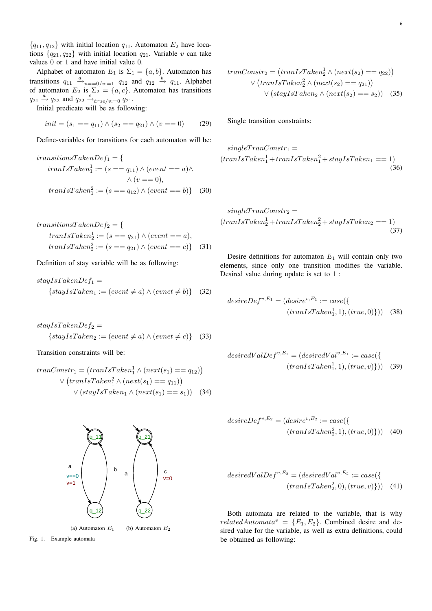${q_{11}, q_{12}}$  with initial location  $q_{11}$ . Automaton  $E_2$  have locations  ${q_{21}, q_{22}}$  with initial location  $q_{21}$ . Variable v can take values 0 or 1 and have initial value 0.

Alphabet of automaton  $E_1$  is  $\Sigma_1 = \{a, b\}$ . Automaton has transitions  $q_{11} \xrightarrow{a} v_{v=-0/v:=1} q_{12}$  and  $q_{12} \xrightarrow{b} q_{11}$ . Alphabet of automaton  $E_2$  is  $\Sigma_2 = \{a, c\}$ . Automaton has transitions  $q_{21} \stackrel{a}{\rightarrow} q_{22}$  and  $q_{22} \stackrel{c}{\rightarrow}{}_{true/v:=0} q_{21}$ .

Initial predicate will be as following:

$$
init = (s_1 == q_{11}) \land (s_2 == q_{21}) \land (v == 0) \tag{29}
$$

Define-variables for transitions for each automaton will be:

$$
transitionsTake nDef1 = \{
$$
  
\n
$$
transTask n_1^1 := (s == q_{11}) \land (event == a) \land
$$
  
\n
$$
\land (v == 0),
$$
  
\n
$$
transTask n_1^2 := (s == q_{12}) \land (event == b)
$$
 (30)

$$
transitionsTake nDef2 = \{
$$
  
\n
$$
tranIsTake n_2^1 := (s == q_{21}) \land (event == a),
$$
  
\n
$$
tranIsTake n_2^2 := (s == q_{21}) \land (event == c)\}
$$
 (31)

Definition of stay variable will be as following:

$$
stay IsTake nDef1 ={stay IsTake n1 := (event \neq a) \land (event \neq b)}
$$
 (32)

$$
stay IsTake nDef2 ={stay IsTake n2 := (event \neq a) \land (event \neq c)}
$$
 (33)

Transition constraints will be:

$$
tranConstr_1 = (tranIsTaken_1^1 \land (next(s_1) == q_{12}))
$$
  
 
$$
\lor (tranIsTaken_1^2 \land (next(s_1) == q_{11}))
$$
  
 
$$
\lor (stayIsTaken_1 \land (next(s_1) == s_1))
$$
 (34)

Fig. 1. Example automata

$$
tranConstr_2 = (tranIsTaken_2^1 \land (next(s_2) == q_{22}))
$$

$$
\lor (tranIsTaken_2^2 \land (next(s_2) == q_{21}))
$$

$$
\lor (stayIsTaken_2 \land (next(s_2) == s_2))
$$
(35)

Single transition constraints:

$$
single TranConstr1 =(tranIsTaken11 + tranIsTaken12 + stayIsTaken1 == 1)
$$
(36)

$$
single TranConstr_2 =(tranIsTaken21 + tranIsTaken22 + stayIsTaken2 == 1)(37)
$$

Desire definitions for automaton  $E_1$  will contain only two elements, since only one transition modifies the variable. Desired value during update is set to 1 :

$$
desireDefv,E1 = (desirev,E1 := case({\n \n \text{(}transTaken1, 1), (true, 0)})) (38)
$$

$$
desiredValDef^{v,E_1} = (desiredVal^{v,E_1}) := case(\{ \begin{array}{c} (trandsTaken_1^1, 1), (true, v) \end{array} \}) \quad (39)
$$

$$
desireDefv, E2 = (desirev, E2 := case({\n \n \text{(}transTaken22, 1), (true, 0)})) (40)
$$

$$
desiredValDef^{v,E_2} = (desiredVal^{v,E_2} := case(\{ \n \text{(}tranIsTaken_2^2, 0), (true, v) \})) \quad (41)
$$

Both automata are related to the variable, that is why  $relatedAutomata^v = \{E_1, E_2\}$ . Combined desire and desired value for the variable, as well as extra definitions, could be obtained as following: